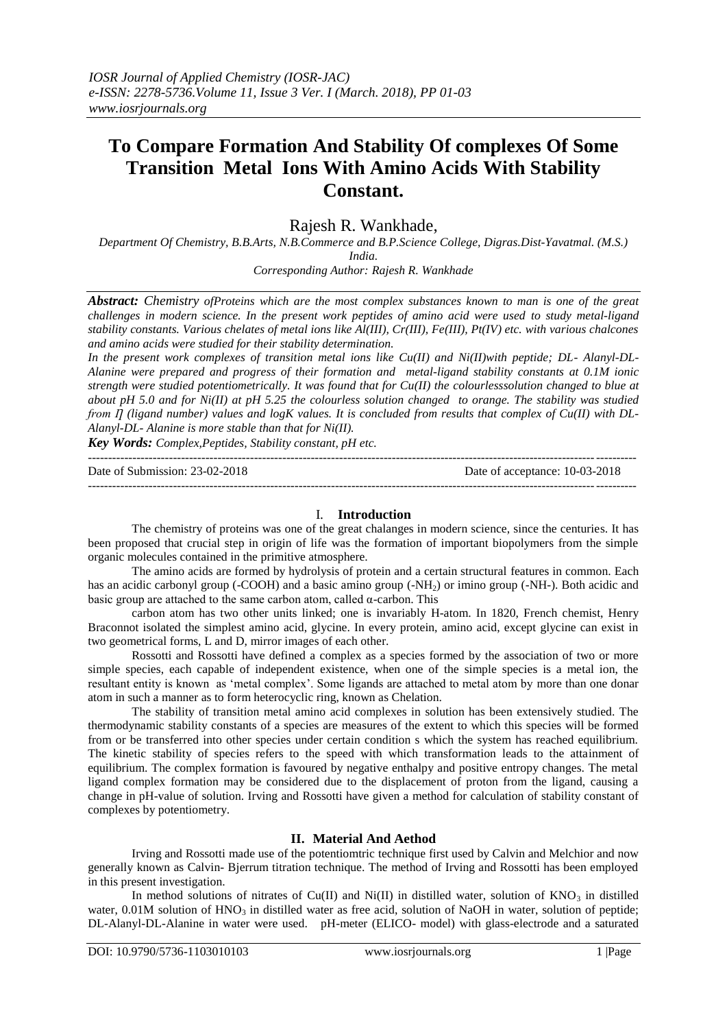# **To Compare Formation And Stability Of complexes Of Some Transition Metal Ions With Amino Acids With Stability Constant.**

Rajesh R. Wankhade,

*Department Of Chemistry, B.B.Arts, N.B.Commerce and B.P.Science College, Digras.Dist-Yavatmal. (M.S.) India.*

*Corresponding Author: Rajesh R. Wankhade*

*Abstract: Chemistry ofProteins which are the most complex substances known to man is one of the great challenges in modern science. In the present work peptides of amino acid were used to study metal-ligand stability constants. Various chelates of metal ions like Al(III), Cr(III), Fe(III), Pt(IV) etc. with various chalcones and amino acids were studied for their stability determination.*

*In the present work complexes of transition metal ions like Cu(II) and Ni(II)with peptide; DL- Alanyl-DL-Alanine were prepared and progress of their formation and metal-ligand stability constants at 0.1M ionic strength were studied potentiometrically. It was found that for Cu(II) the colourlesssolution changed to blue at about pH 5.0 and for Ni(II) at pH 5.25 the colourless solution changed to orange. The stability was studied from*  $\Pi$  (ligand number) values and logK values. It is concluded from results that complex of Cu(II) with DL-*Alanyl-DL- Alanine is more stable than that for Ni(II).*

*Key Words: Complex,Peptides, Stability constant, pH etc.*

---------------------------------------------------------------------------------------------------------------------------------------

Date of Submission: 23-02-2018 Date of acceptance: 10-03-2018

I. **Introduction**

---------------------------------------------------------------------------------------------------------------------------------------

The chemistry of proteins was one of the great chalanges in modern science, since the centuries. It has been proposed that crucial step in origin of life was the formation of important biopolymers from the simple organic molecules contained in the primitive atmosphere.

The amino acids are formed by hydrolysis of protein and a certain structural features in common. Each has an acidic carbonyl group (-COOH) and a basic amino group (-NH<sub>2</sub>) or imino group (-NH-). Both acidic and basic group are attached to the same carbon atom, called  $\alpha$ -carbon. This

carbon atom has two other units linked; one is invariably H-atom. In 1820, French chemist, Henry Braconnot isolated the simplest amino acid, glycine. In every protein, amino acid, except glycine can exist in two geometrical forms, L and D, mirror images of each other.

Rossotti and Rossotti have defined a complex as a species formed by the association of two or more simple species, each capable of independent existence, when one of the simple species is a metal ion, the resultant entity is known as 'metal complex'. Some ligands are attached to metal atom by more than one donar atom in such a manner as to form heterocyclic ring, known as Chelation.

The stability of transition metal amino acid complexes in solution has been extensively studied. The thermodynamic stability constants of a species are measures of the extent to which this species will be formed from or be transferred into other species under certain condition s which the system has reached equilibrium. The kinetic stability of species refers to the speed with which transformation leads to the attainment of equilibrium. The complex formation is favoured by negative enthalpy and positive entropy changes. The metal ligand complex formation may be considered due to the displacement of proton from the ligand, causing a change in pH-value of solution. Irving and Rossotti have given a method for calculation of stability constant of complexes by potentiometry.

## **II. Material And Aethod**

Irving and Rossotti made use of the potentiomtric technique first used by Calvin and Melchior and now generally known as Calvin- Bjerrum titration technique. The method of Irving and Rossotti has been employed in this present investigation.

In method solutions of nitrates of Cu(II) and Ni(II) in distilled water, solution of  $KNO<sub>3</sub>$  in distilled water, 0.01M solution of  $HNO<sub>3</sub>$  in distilled water as free acid, solution of NaOH in water, solution of peptide; DL-Alanyl-DL-Alanine in water were used. pH-meter (ELICO- model) with glass-electrode and a saturated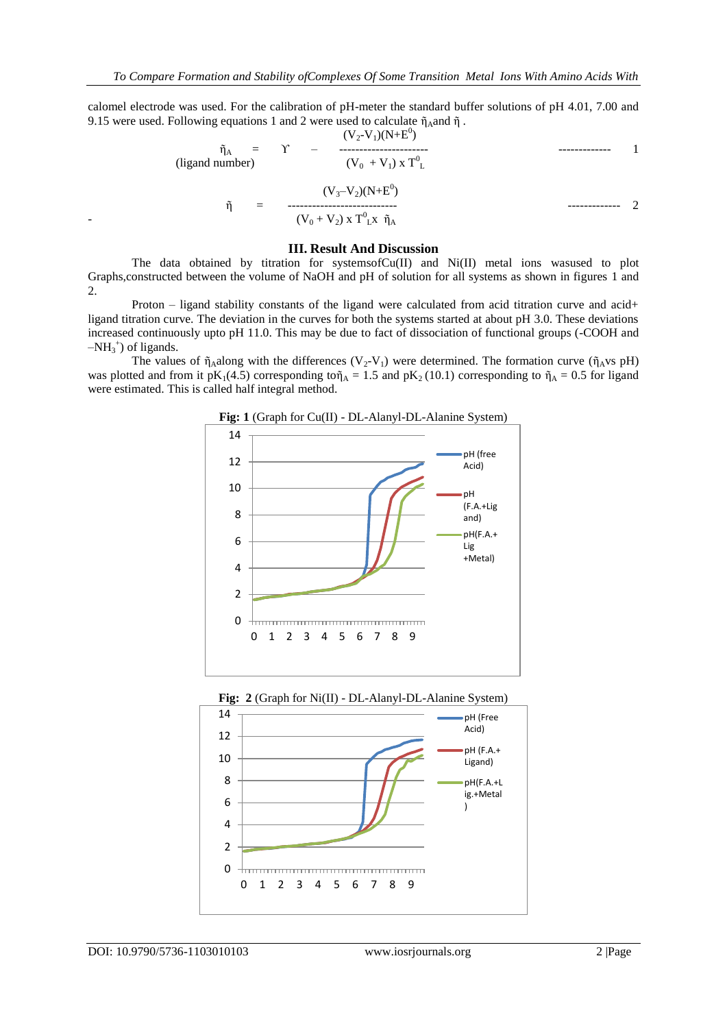calomel electrode was used. For the calibration of pH-meter the standard buffer solutions of pH 4.01, 7.00 and 9.15 were used. Following equations 1 and 2 were used to calculate  $\tilde{\eta}_A$ and  $\tilde{\eta}$ .

$$
\tilde{\eta}_{A} = \gamma - \frac{(V_{2}-V_{1})(N+E^{0})}{(V_{0}+V_{1}) \times T^{0}L}
$$
\n(ligand number)\n
$$
\tilde{\eta} = \frac{(V_{3}-V_{2})(N+E^{0})}{(V_{0}+V_{2}) \times T^{0}L \times \tilde{\eta}_{A}}
$$

#### **III. Result And Discussion**

The data obtained by titration for systemsof $Cu(II)$  and  $Ni(II)$  metal ions wasused to plot Graphs,constructed between the volume of NaOH and pH of solution for all systems as shown in figures 1 and 2.

Proton – ligand stability constants of the ligand were calculated from acid titration curve and acid+ ligand titration curve. The deviation in the curves for both the systems started at about pH 3.0. These deviations increased continuously upto pH 11.0. This may be due to fact of dissociation of functional groups (-COOH and  $-NH_3^+$ ) of ligands.

The values of  $\tilde{\eta}_A$ along with the differences (V<sub>2</sub>-V<sub>1</sub>) were determined. The formation curve ( $\tilde{\eta}_A$ vs pH) was plotted and from it pK<sub>1</sub>(4.5) corresponding to $\tilde{\eta}_A = 1.5$  and pK<sub>2</sub> (10.1) corresponding to  $\tilde{\eta}_A = 0.5$  for ligand were estimated. This is called half integral method.